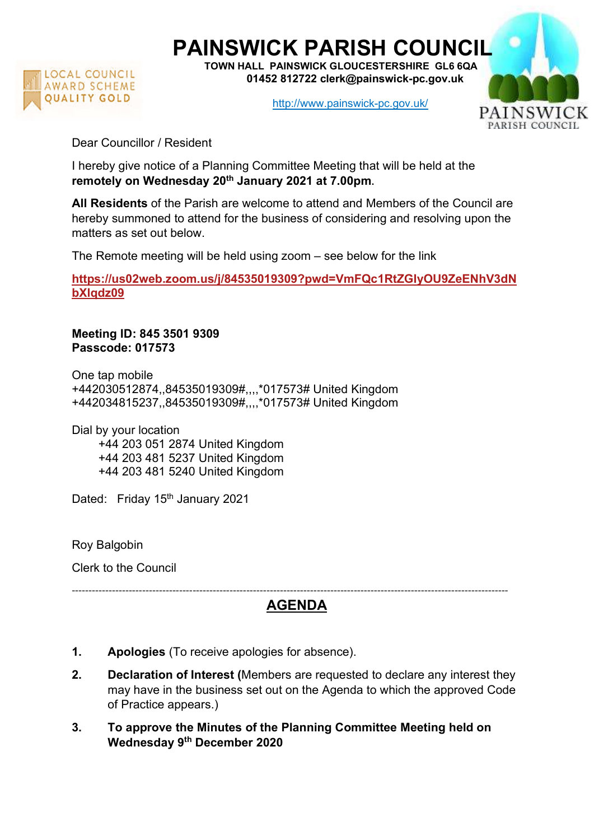

## PAINSWICK PARISH COUNCIL

TOWN HALL PAINSWICK GLOUCESTERSHIRE GL6 6QA 01452 812722 clerk@painswick-pc.gov.uk

http://www.painswick-pc.gov.uk/



Dear Councillor / Resident

I hereby give notice of a Planning Committee Meeting that will be held at the remotely on Wednesday 20<sup>th</sup> January 2021 at 7.00pm.

All Residents of the Parish are welcome to attend and Members of the Council are hereby summoned to attend for the business of considering and resolving upon the matters as set out below.

The Remote meeting will be held using zoom – see below for the link

https://us02web.zoom.us/j/84535019309?pwd=VmFQc1RtZGIyOU9ZeENhV3dN bXlqdz09

Meeting ID: 845 3501 9309 Passcode: 017573

One tap mobile +442030512874,,84535019309#,,,,\*017573# United Kingdom +442034815237,,84535019309#,,,,\*017573# United Kingdom

Dial by your location +44 203 051 2874 United Kingdom +44 203 481 5237 United Kingdom +44 203 481 5240 United Kingdom

Dated: Friday 15<sup>th</sup> January 2021

Roy Balgobin

Clerk to the Council

## ---------------------------------------------------------------------------------------------------------------------------------- AGENDA

- 1. Apologies (To receive apologies for absence).
- 2. Declaration of Interest (Members are requested to declare any interest they may have in the business set out on the Agenda to which the approved Code of Practice appears.)
- 3. To approve the Minutes of the Planning Committee Meeting held on Wednesday 9th December 2020